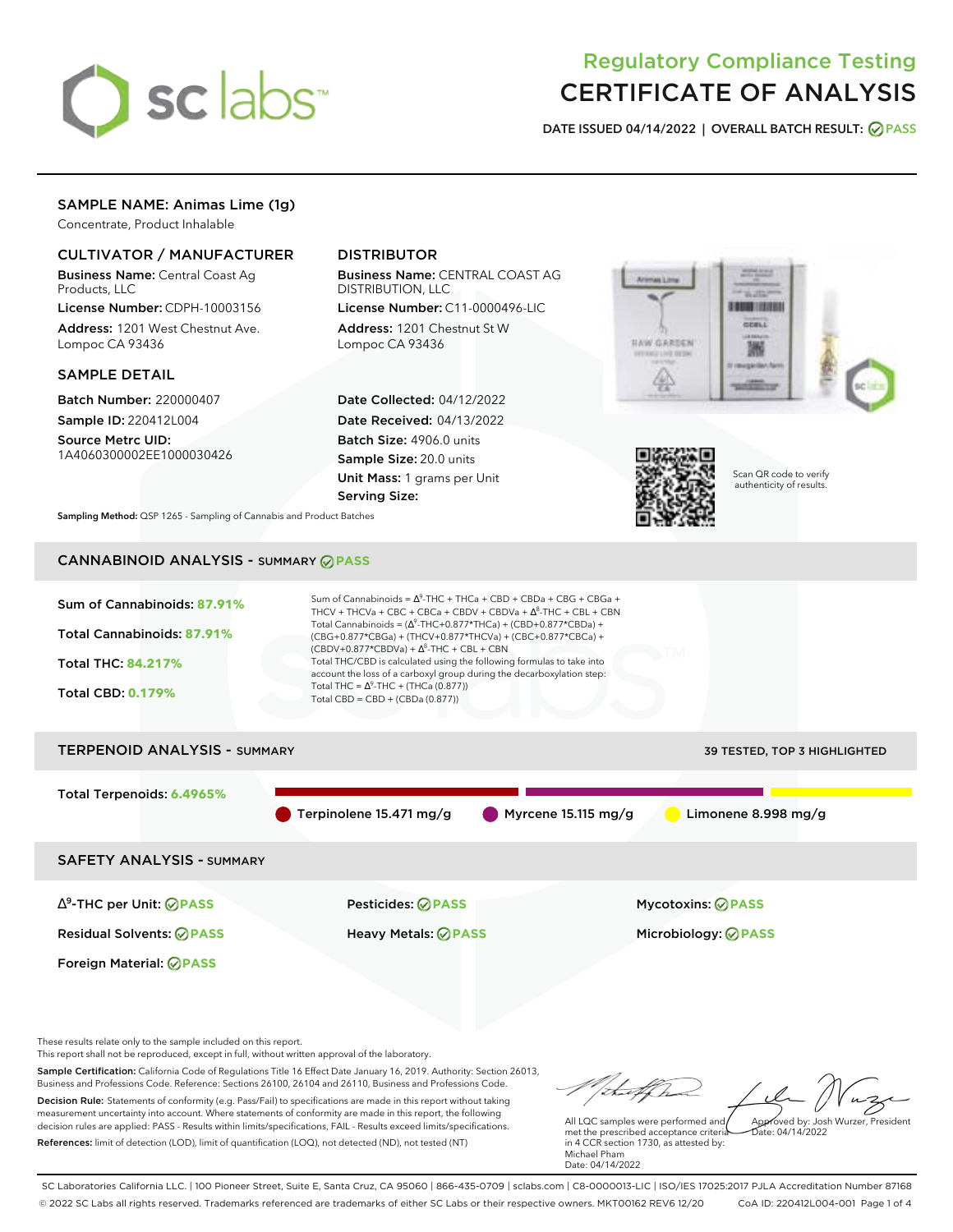

# Regulatory Compliance Testing CERTIFICATE OF ANALYSIS

**DATE ISSUED 04/14/2022 | OVERALL BATCH RESULT: PASS**

# SAMPLE NAME: Animas Lime (1g)

Concentrate, Product Inhalable

# CULTIVATOR / MANUFACTURER

Business Name: Central Coast Ag Products, LLC

License Number: CDPH-10003156 Address: 1201 West Chestnut Ave. Lompoc CA 93436

### SAMPLE DETAIL

Batch Number: 220000407 Sample ID: 220412L004

Source Metrc UID: 1A4060300002EE1000030426

## DISTRIBUTOR

Business Name: CENTRAL COAST AG DISTRIBUTION, LLC

License Number: C11-0000496-LIC Address: 1201 Chestnut St W Lompoc CA 93436

Date Collected: 04/12/2022 Date Received: 04/13/2022 Batch Size: 4906.0 units Sample Size: 20.0 units Unit Mass: 1 grams per Unit Serving Size:





Scan QR code to verify authenticity of results.

**Sampling Method:** QSP 1265 - Sampling of Cannabis and Product Batches

# CANNABINOID ANALYSIS - SUMMARY **PASS**



Sample Certification: California Code of Regulations Title 16 Effect Date January 16, 2019. Authority: Section 26013, Business and Professions Code. Reference: Sections 26100, 26104 and 26110, Business and Professions Code. Decision Rule: Statements of conformity (e.g. Pass/Fail) to specifications are made in this report without taking measurement uncertainty into account. Where statements of conformity are made in this report, the following decision rules are applied: PASS - Results within limits/specifications, FAIL - Results exceed limits/specifications. References: limit of detection (LOD), limit of quantification (LOQ), not detected (ND), not tested (NT)

All LQC samples were performed and met the prescribed acceptance criteria in 4 CCR section 1730, as attested by: Michael Pham Approved by: Josh Wurzer, President  $hat(0.4/14/2022)$ 

Date: 04/14/2022

SC Laboratories California LLC. | 100 Pioneer Street, Suite E, Santa Cruz, CA 95060 | 866-435-0709 | sclabs.com | C8-0000013-LIC | ISO/IES 17025:2017 PJLA Accreditation Number 87168 © 2022 SC Labs all rights reserved. Trademarks referenced are trademarks of either SC Labs or their respective owners. MKT00162 REV6 12/20 CoA ID: 220412L004-001 Page 1 of 4